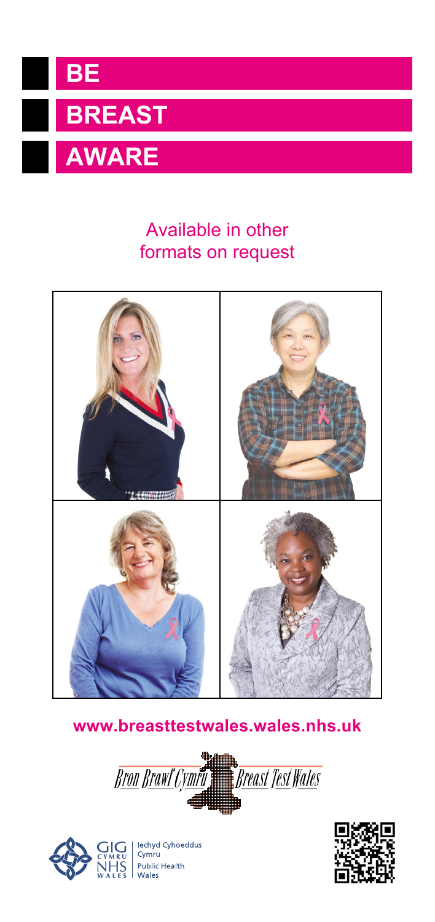

# **AWARE**

## Available in other formats on request



#### **[www.breasttestwales.wales.nhs.uk](http://www.breasttestwales.wales.nhs.uk)**





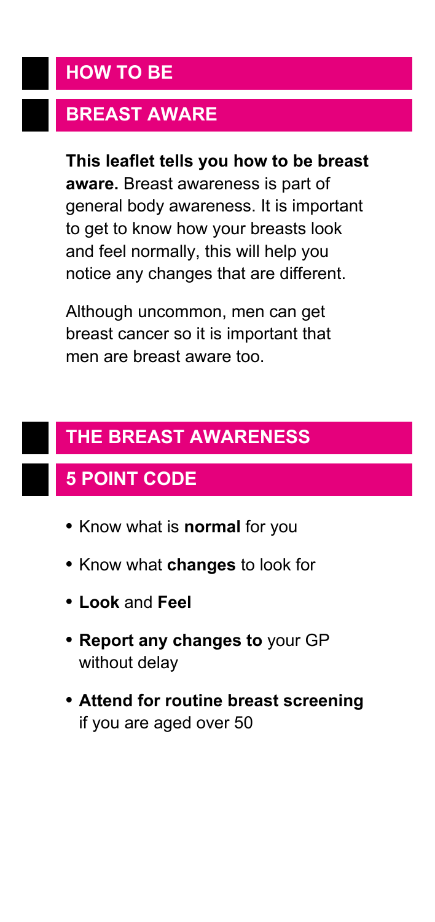#### **HOW TO BE**

## **BREAST AWARE**

**This leaflet tells you how to be breast aware.** Breast awareness is part of general body awareness. It is important to get to know how your breasts look and feel normally, this will help you notice any changes that are different.

Although uncommon, men can get breast cancer so it is important that men are breast aware too.

# **THE BREAST AWARENESS**

# **5 POINT CODE**

- **•** Know what is **normal** for you
- **•** Know what **changes** to look for
- **• Look** and **Feel**
- **• Report any changes to** your GP without delay
- **• Attend for routine breast screening** if you are aged over 50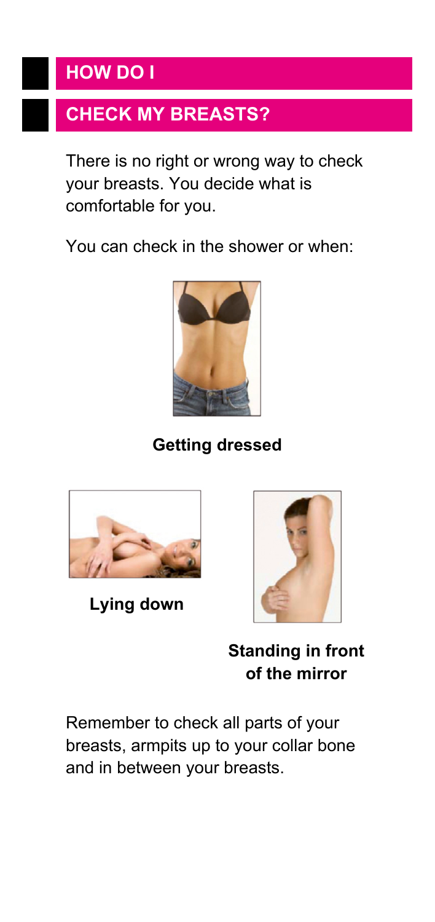## **HOW DO I**

# **CHECK MY BREASTS?**

There is no right or wrong way to check your breasts. You decide what is comfortable for you.

You can check in the shower or when:



**Getting dressed**



 **Lying down**



**Standing in front of the mirror**

Remember to check all parts of your breasts, armpits up to your collar bone and in between your breasts.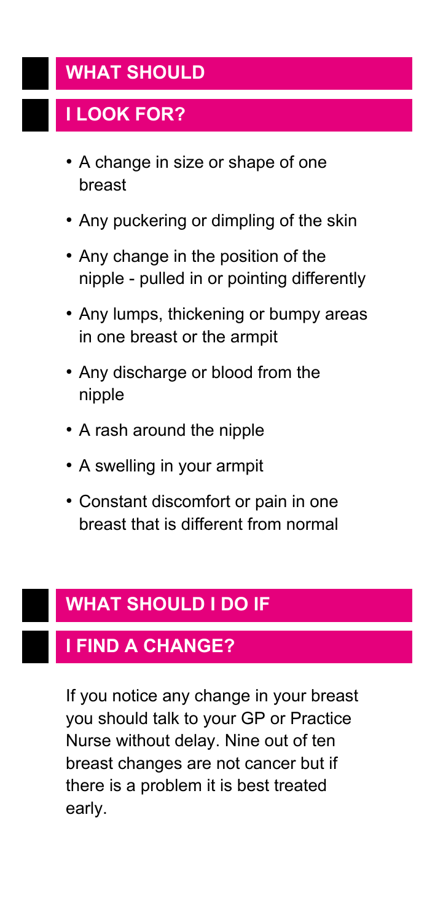#### **WHAT SHOULD**

# **I LOOK FOR?**

- A change in size or shape of one breast
- Any puckering or dimpling of the skin
- Any change in the position of the nipple - pulled in or pointing differently
- Any lumps, thickening or bumpy areas in one breast or the armpit
- Any discharge or blood from the nipple
- A rash around the nipple
- A swelling in your armpit
- Constant discomfort or pain in one breast that is different from normal

# **WHAT SHOULD I DO IF**

#### **I FIND A CHANGE?**

If you notice any change in your breast you should talk to your GP or Practice Nurse without delay. Nine out of ten breast changes are not cancer but if there is a problem it is best treated early.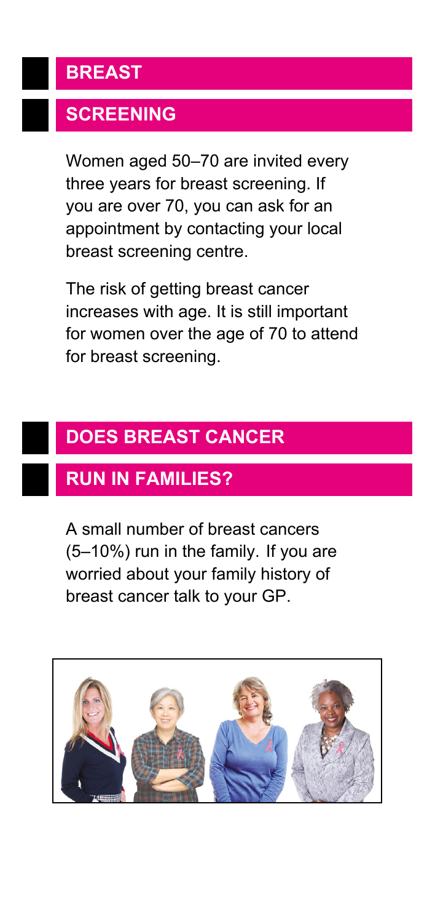# **BREAST**

# **SCREENING**

Women aged 50–70 are invited every three years for breast screening. If you are over 70, you can ask for an appointment by contacting your local breast screening centre.

The risk of getting breast cancer increases with age. It is still important for women over the age of 70 to attend for breast screening.

# **DOES BREAST CANCER**

## **RUN IN FAMILIES?**

A small number of breast cancers (5–10%) run in the family. If you are worried about your family history of breast cancer talk to your GP.